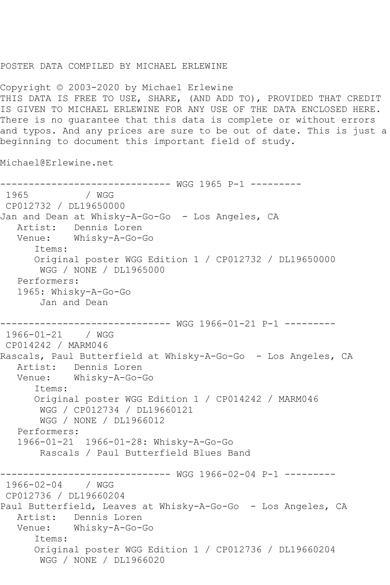## POSTER DATA COMPILED BY MICHAEL ERLEWINE

Copyright © 2003-2020 by Michael Erlewine THIS DATA IS FREE TO USE, SHARE, (AND ADD TO), PROVIDED THAT CREDIT IS GIVEN TO MICHAEL ERLEWINE FOR ANY USE OF THE DATA ENCLOSED HERE. There is no guarantee that this data is complete or without errors and typos. And any prices are sure to be out of date. This is just a beginning to document this important field of study.

Michael@Erlewine.net

------------------------------ WGG 1965 P-1 ---------  $/$  WGG CP012732 / DL19650000 Jan and Dean at Whisky-A-Go-Go - Los Angeles, CA Artist: Dennis Loren Venue: Whisky-A-Go-Go Items: Original poster WGG Edition 1 / CP012732 / DL19650000 WGG / NONE / DL1965000 Performers: 1965: Whisky-A-Go-Go Jan and Dean ------------------------------ WGG 1966-01-21 P-1 --------- 1966-01-21 / WGG CP014242 / MARM046 Rascals, Paul Butterfield at Whisky-A-Go-Go - Los Angeles, CA Artist: Dennis Loren Venue: Whisky-A-Go-Go Items: Original poster WGG Edition 1 / CP014242 / MARM046 WGG / CP012734 / DL19660121 WGG / NONE / DL1966012 Performers: 1966-01-21 1966-01-28: Whisky-A-Go-Go Rascals / Paul Butterfield Blues Band ------------------------------ WGG 1966-02-04 P-1 --------- 1966-02-04 / WGG CP012736 / DL19660204 Paul Butterfield, Leaves at Whisky-A-Go-Go - Los Angeles, CA Artist: Dennis Loren Venue: Whisky-A-Go-Go Items: Original poster WGG Edition 1 / CP012736 / DL19660204 WGG / NONE / DL1966020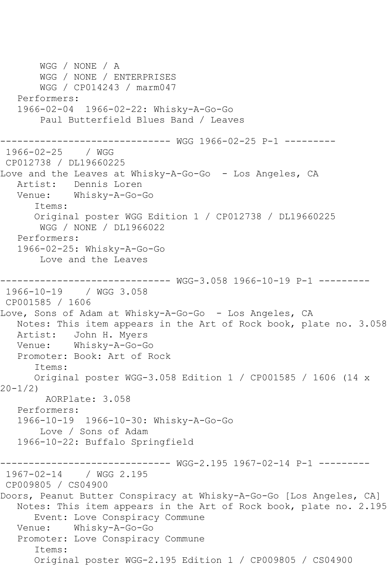WGG / NONE / A WGG / NONE / ENTERPRISES WGG / CP014243 / marm047 Performers: 1966-02-04 1966-02-22: Whisky-A-Go-Go Paul Butterfield Blues Band / Leaves ------------------------------ WGG 1966-02-25 P-1 --------- 1966-02-25 / WGG CP012738 / DL19660225 Love and the Leaves at Whisky-A-Go-Go - Los Angeles, CA Artist: Dennis Loren Venue: Whisky-A-Go-Go Items: Original poster WGG Edition 1 / CP012738 / DL19660225 WGG / NONE / DL1966022 Performers: 1966-02-25: Whisky-A-Go-Go Love and the Leaves ------------------------------ WGG-3.058 1966-10-19 P-1 --------- 1966-10-19 / WGG 3.058 CP001585 / 1606 Love, Sons of Adam at Whisky-A-Go-Go - Los Angeles, CA Notes: This item appears in the Art of Rock book, plate no. 3.058 Artist: John H. Myers Venue: Whisky-A-Go-Go Promoter: Book: Art of Rock Items: Original poster WGG-3.058 Edition 1 / CP001585 / 1606 (14 x 20-1/2) AORPlate: 3.058 Performers: 1966-10-19 1966-10-30: Whisky-A-Go-Go Love / Sons of Adam 1966-10-22: Buffalo Springfield ------------------------------ WGG-2.195 1967-02-14 P-1 --------- 1967-02-14 / WGG 2.195 CP009805 / CS04900 Doors, Peanut Butter Conspiracy at Whisky-A-Go-Go [Los Angeles, CA] Notes: This item appears in the Art of Rock book, plate no. 2.195 Event: Love Conspiracy Commune Venue: Whisky-A-Go-Go Promoter: Love Conspiracy Commune Items: Original poster WGG-2.195 Edition 1 / CP009805 / CS04900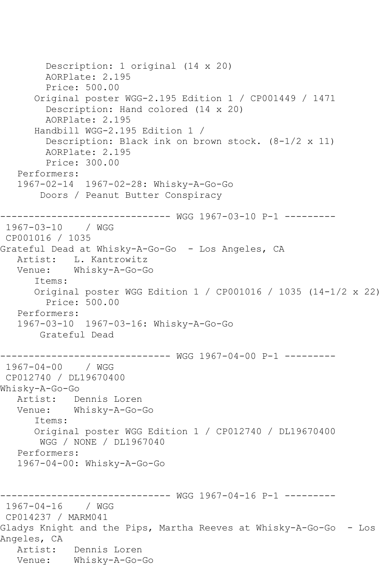Description: 1 original (14 x 20) AORPlate: 2.195 Price: 500.00 Original poster WGG-2.195 Edition 1 / CP001449 / 1471 Description: Hand colored (14 x 20) AORPlate: 2.195 Handbill WGG-2.195 Edition 1 / Description: Black ink on brown stock. (8-1/2 x 11) AORPlate: 2.195 Price: 300.00 Performers: 1967-02-14 1967-02-28: Whisky-A-Go-Go Doors / Peanut Butter Conspiracy ------------------------------ WGG 1967-03-10 P-1 --------- 1967-03-10 / WGG CP001016 / 1035 Grateful Dead at Whisky-A-Go-Go - Los Angeles, CA Artist: L. Kantrowitz Venue: Whisky-A-Go-Go Items: Original poster WGG Edition 1 / CP001016 / 1035 (14-1/2 x 22) Price: 500.00 Performers: 1967-03-10 1967-03-16: Whisky-A-Go-Go Grateful Dead ------------------------------ WGG 1967-04-00 P-1 --------- 1967-04-00 / WGG CP012740 / DL19670400 Whisky-A-Go-Go Artist: Dennis Loren Venue: Whisky-A-Go-Go Items: Original poster WGG Edition 1 / CP012740 / DL19670400 WGG / NONE / DL1967040 Performers: 1967-04-00: Whisky-A-Go-Go ------------------------------ WGG 1967-04-16 P-1 --------- 1967-04-16 / WGG CP014237 / MARM041 Gladys Knight and the Pips, Martha Reeves at Whisky-A-Go-Go - Los Angeles, CA Artist: Dennis Loren Venue: Whisky-A-Go-Go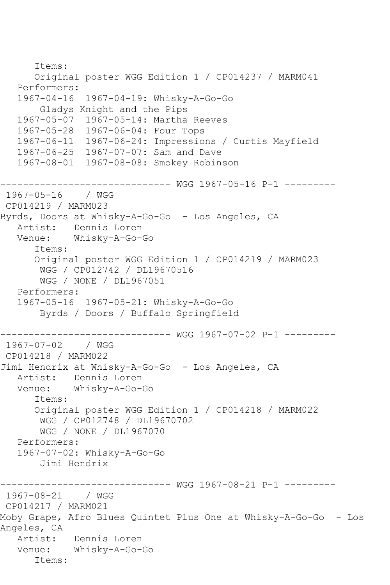```
 Items:
       Original poster WGG Edition 1 / CP014237 / MARM041
   Performers:
   1967-04-16 1967-04-19: Whisky-A-Go-Go
       Gladys Knight and the Pips
   1967-05-07 1967-05-14: Martha Reeves
   1967-05-28 1967-06-04: Four Tops
   1967-06-11 1967-06-24: Impressions / Curtis Mayfield
   1967-06-25 1967-07-07: Sam and Dave
   1967-08-01 1967-08-08: Smokey Robinson
------------------------------ WGG 1967-05-16 P-1 ---------
1967-05-16 / WGG 
CP014219 / MARM023
Byrds, Doors at Whisky-A-Go-Go - Los Angeles, CA
   Artist: Dennis Loren
   Venue: Whisky-A-Go-Go
       Items:
       Original poster WGG Edition 1 / CP014219 / MARM023
        WGG / CP012742 / DL19670516
        WGG / NONE / DL1967051
   Performers:
   1967-05-16 1967-05-21: Whisky-A-Go-Go
        Byrds / Doors / Buffalo Springfield
                ------------------------------ WGG 1967-07-02 P-1 ---------
1967-07-02 / WGG 
CP014218 / MARM022
Jimi Hendrix at Whisky-A-Go-Go - Los Angeles, CA
   Artist: Dennis Loren
   Venue: Whisky-A-Go-Go
       Items:
      Original poster WGG Edition 1 / CP014218 / MARM022
       WGG / CP012748 / DL19670702
        WGG / NONE / DL1967070
   Performers:
   1967-07-02: Whisky-A-Go-Go
        Jimi Hendrix
------------------------------ WGG 1967-08-21 P-1 ---------
1967-08-21 / WGG 
CP014217 / MARM021
Moby Grape, Afro Blues Quintet Plus One at Whisky-A-Go-Go - Los 
Angeles, CA
   Artist: Dennis Loren
   Venue: Whisky-A-Go-Go
       Items:
```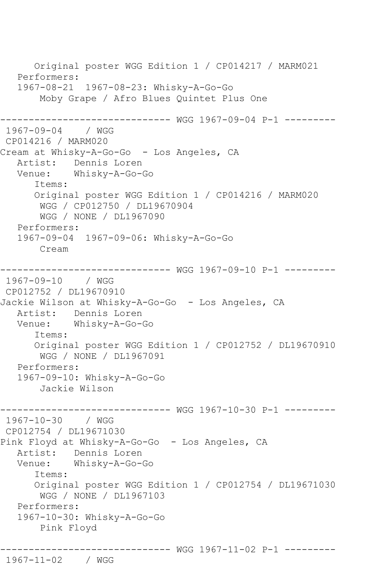Original poster WGG Edition 1 / CP014217 / MARM021 Performers: 1967-08-21 1967-08-23: Whisky-A-Go-Go Moby Grape / Afro Blues Quintet Plus One ------------------------------ WGG 1967-09-04 P-1 --------- 1967-09-04 / WGG CP014216 / MARM020 Cream at Whisky-A-Go-Go - Los Angeles, CA Artist: Dennis Loren<br>Venue: Whiskv-A-Go-Whisky-A-Go-Go Items: Original poster WGG Edition 1 / CP014216 / MARM020 WGG / CP012750 / DL19670904 WGG / NONE / DL1967090 Performers: 1967-09-04 1967-09-06: Whisky-A-Go-Go Cream ------------------------------ WGG 1967-09-10 P-1 --------- 1967-09-10 / WGG CP012752 / DL19670910 Jackie Wilson at Whisky-A-Go-Go - Los Angeles, CA Artist: Dennis Loren Venue: Whisky-A-Go-Go Items: Original poster WGG Edition 1 / CP012752 / DL19670910 WGG / NONE / DL1967091 Performers: 1967-09-10: Whisky-A-Go-Go Jackie Wilson ------------------------------ WGG 1967-10-30 P-1 --------- 1967-10-30 / WGG CP012754 / DL19671030 Pink Floyd at Whisky-A-Go-Go - Los Angeles, CA Artist: Dennis Loren Venue: Whisky-A-Go-Go Items: Original poster WGG Edition 1 / CP012754 / DL19671030 WGG / NONE / DL1967103 Performers: 1967-10-30: Whisky-A-Go-Go Pink Floyd ------------------------------ WGG 1967-11-02 P-1 --------- 1967-11-02 / WGG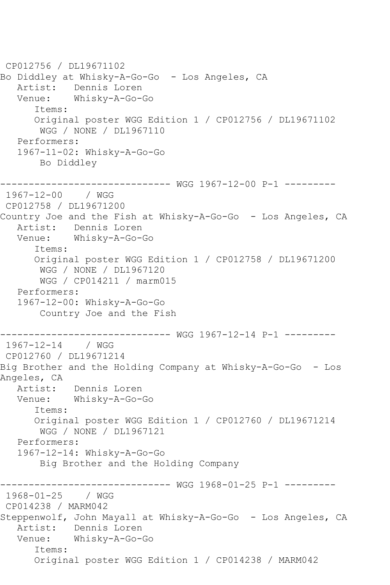CP012756 / DL19671102 Bo Diddley at Whisky-A-Go-Go - Los Angeles, CA<br>Artist: Dennis Loren Dennis Loren Venue: Whisky-A-Go-Go Items: Original poster WGG Edition 1 / CP012756 / DL19671102 WGG / NONE / DL1967110 Performers: 1967-11-02: Whisky-A-Go-Go Bo Diddley ------------------------------ WGG 1967-12-00 P-1 --------- 1967-12-00 / WGG CP012758 / DL19671200 Country Joe and the Fish at Whisky-A-Go-Go - Los Angeles, CA Artist: Dennis Loren Venue: Whisky-A-Go-Go Items: Original poster WGG Edition 1 / CP012758 / DL19671200 WGG / NONE / DL1967120 WGG / CP014211 / marm015 Performers: 1967-12-00: Whisky-A-Go-Go Country Joe and the Fish ------------------------------ WGG 1967-12-14 P-1 --------- 1967-12-14 / WGG CP012760 / DL19671214 Big Brother and the Holding Company at Whisky-A-Go-Go - Los Angeles, CA Artist: Dennis Loren Venue: Whisky-A-Go-Go Items: Original poster WGG Edition 1 / CP012760 / DL19671214 WGG / NONE / DL1967121 Performers: 1967-12-14: Whisky-A-Go-Go Big Brother and the Holding Company ------------------------------ WGG 1968-01-25 P-1 --------- 1968-01-25 / WGG CP014238 / MARM042 Steppenwolf, John Mayall at Whisky-A-Go-Go - Los Angeles, CA Artist: Dennis Loren Venue: Whisky-A-Go-Go Items: Original poster WGG Edition 1 / CP014238 / MARM042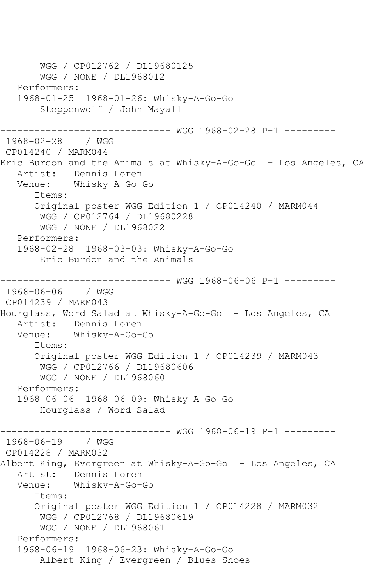WGG / CP012762 / DL19680125 WGG / NONE / DL1968012 Performers: 1968-01-25 1968-01-26: Whisky-A-Go-Go Steppenwolf / John Mayall ------------------------------ WGG 1968-02-28 P-1 --------- 1968-02-28 / WGG CP014240 / MARM044 Eric Burdon and the Animals at Whisky-A-Go-Go - Los Angeles, CA Artist: Dennis Loren Venue: Whisky-A-Go-Go Items: Original poster WGG Edition 1 / CP014240 / MARM044 WGG / CP012764 / DL19680228 WGG / NONE / DL1968022 Performers: 1968-02-28 1968-03-03: Whisky-A-Go-Go Eric Burdon and the Animals ------------------------------ WGG 1968-06-06 P-1 --------- 1968-06-06 / WGG CP014239 / MARM043 Hourglass, Word Salad at Whisky-A-Go-Go - Los Angeles, CA Artist: Dennis Loren<br>Venue: Whiskv-A-Go-Whisky-A-Go-Go Items: Original poster WGG Edition 1 / CP014239 / MARM043 WGG / CP012766 / DL19680606 WGG / NONE / DL1968060 Performers: 1968-06-06 1968-06-09: Whisky-A-Go-Go Hourglass / Word Salad ------------------------------ WGG 1968-06-19 P-1 --------- 1968-06-19 / WGG CP014228 / MARM032 Albert King, Evergreen at Whisky-A-Go-Go - Los Angeles, CA Artist: Dennis Loren<br>Venue: Whiskv-A-Go-Whisky-A-Go-Go Items: Original poster WGG Edition 1 / CP014228 / MARM032 WGG / CP012768 / DL19680619 WGG / NONE / DL1968061 Performers: 1968-06-19 1968-06-23: Whisky-A-Go-Go Albert King / Evergreen / Blues Shoes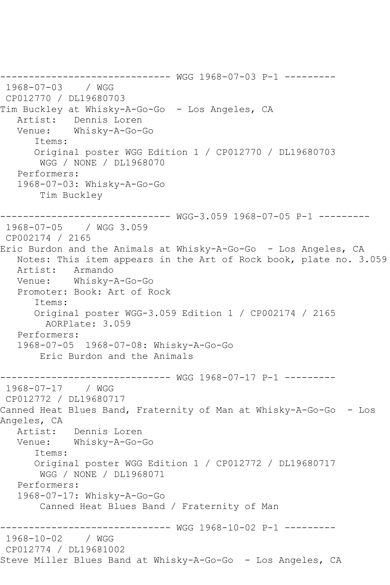------------------------------ WGG 1968-07-03 P-1 --------- 1968-07-03 / WGG CP012770 / DL19680703 Tim Buckley at Whisky-A-Go-Go - Los Angeles, CA Artist: Dennis Loren<br>Venue: Whiskv-A-Go-Whisky-A-Go-Go Items: Original poster WGG Edition 1 / CP012770 / DL19680703 WGG / NONE / DL1968070 Performers: 1968-07-03: Whisky-A-Go-Go Tim Buckley ------------------------------ WGG-3.059 1968-07-05 P-1 --------- 1968-07-05 / WGG 3.059 CP002174 / 2165 Eric Burdon and the Animals at Whisky-A-Go-Go - Los Angeles, CA Notes: This item appears in the Art of Rock book, plate no. 3.059 Artist: Armando Venue: Whisky-A-Go-Go Promoter: Book: Art of Rock Items: Original poster WGG-3.059 Edition 1 / CP002174 / 2165 AORPlate: 3.059 Performers: 1968-07-05 1968-07-08: Whisky-A-Go-Go Eric Burdon and the Animals ------------------------------ WGG 1968-07-17 P-1 --------- 1968-07-17 / WGG CP012772 / DL19680717 Canned Heat Blues Band, Fraternity of Man at Whisky-A-Go-Go - Los Angeles, CA Artist: Dennis Loren<br>Venue: Whisky-A-Go-Whisky-A-Go-Go Items: Original poster WGG Edition 1 / CP012772 / DL19680717 WGG / NONE / DL1968071 Performers: 1968-07-17: Whisky-A-Go-Go Canned Heat Blues Band / Fraternity of Man ------------------------------ WGG 1968-10-02 P-1 --------- 1968-10-02 / WGG CP012774 / DL19681002 Steve Miller Blues Band at Whisky-A-Go-Go - Los Angeles, CA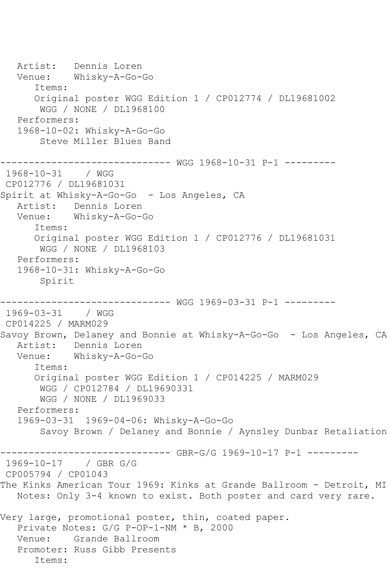Artist: Dennis Loren Venue: Whisky-A-Go-Go Items: Original poster WGG Edition 1 / CP012774 / DL19681002 WGG / NONE / DL1968100 Performers: 1968-10-02: Whisky-A-Go-Go Steve Miller Blues Band ------------------------------ WGG 1968-10-31 P-1 --------- 1968-10-31 / WGG CP012776 / DL19681031 Spirit at Whisky-A-Go-Go - Los Angeles, CA Artist: Dennis Loren Venue: Whisky-A-Go-Go Items: Original poster WGG Edition 1 / CP012776 / DL19681031 WGG / NONE / DL1968103 Performers: 1968-10-31: Whisky-A-Go-Go Spirit ------------------------------ WGG 1969-03-31 P-1 --------- 1969-03-31 / WGG CP014225 / MARM029 Savoy Brown, Delaney and Bonnie at Whisky-A-Go-Go - Los Angeles, CA<br>Artist: Dennis Loren Dennis Loren Venue: Whisky-A-Go-Go Items: Original poster WGG Edition 1 / CP014225 / MARM029 WGG / CP012784 / DL19690331 WGG / NONE / DL1969033 Performers: 1969-03-31 1969-04-06: Whisky-A-Go-Go Savoy Brown / Delaney and Bonnie / Aynsley Dunbar Retaliation ------------------------------ GBR-G/G 1969-10-17 P-1 --------- 1969-10-17 / GBR G/G CP005794 / CP01043 The Kinks American Tour 1969: Kinks at Grande Ballroom - Detroit, MI Notes: Only 3-4 known to exist. Both poster and card very rare. Very large, promotional poster, thin, coated paper. Private Notes: G/G P-OP-1-NM \* B, 2000 Venue: Grande Ballroom Promoter: Russ Gibb Presents Items: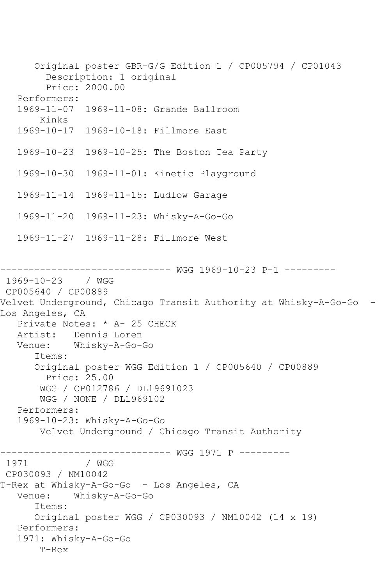Original poster GBR-G/G Edition 1 / CP005794 / CP01043 Description: 1 original Price: 2000.00 Performers: 1969-11-07 1969-11-08: Grande Ballroom Kinks 1969-10-17 1969-10-18: Fillmore East 1969-10-23 1969-10-25: The Boston Tea Party 1969-10-30 1969-11-01: Kinetic Playground 1969-11-14 1969-11-15: Ludlow Garage 1969-11-20 1969-11-23: Whisky-A-Go-Go 1969-11-27 1969-11-28: Fillmore West ------------------------------ WGG 1969-10-23 P-1 --------- 1969-10-23 / WGG CP005640 / CP00889 Velvet Underground, Chicago Transit Authority at Whisky-A-Go-Go - Los Angeles, CA Private Notes: \* A- 25 CHECK Artist: Dennis Loren Venue: Whisky-A-Go-Go Items: Original poster WGG Edition 1 / CP005640 / CP00889 Price: 25.00 WGG / CP012786 / DL19691023 WGG / NONE / DL1969102 Performers: 1969-10-23: Whisky-A-Go-Go Velvet Underground / Chicago Transit Authority ------------------------------ WGG 1971 P --------- / WGG CP030093 / NM10042 T-Rex at Whisky-A-Go-Go - Los Angeles, CA Venue: Whisky-A-Go-Go Items: Original poster WGG / CP030093 / NM10042 (14 x 19) Performers: 1971: Whisky-A-Go-Go T-Rex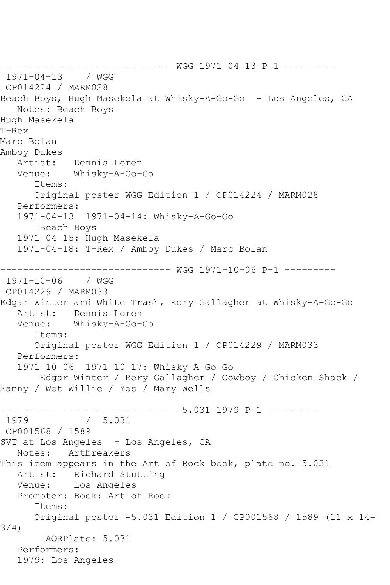------------------------------ WGG 1971-04-13 P-1 --------- 1971-04-13 / WGG CP014224 / MARM028 Beach Boys, Hugh Masekela at Whisky-A-Go-Go - Los Angeles, CA Notes: Beach Boys Hugh Masekela T-Rex Marc Bolan Amboy Dukes Artist: Dennis Loren Venue: Whisky-A-Go-Go Items: Original poster WGG Edition 1 / CP014224 / MARM028 Performers: 1971-04-13 1971-04-14: Whisky-A-Go-Go Beach Boys 1971-04-15: Hugh Masekela 1971-04-18: T-Rex / Amboy Dukes / Marc Bolan ------------------------------ WGG 1971-10-06 P-1 ---------  $1971 - 10 - 06$ CP014229 / MARM033 Edgar Winter and White Trash, Rory Gallagher at Whisky-A-Go-Go Artist: Dennis Loren Venue: Whisky-A-Go-Go Items: Original poster WGG Edition 1 / CP014229 / MARM033 Performers: 1971-10-06 1971-10-17: Whisky-A-Go-Go Edgar Winter / Rory Gallagher / Cowboy / Chicken Shack / Fanny / Wet Willie / Yes / Mary Wells ------------------------------ -5.031 1979 P-1 ---------  $/ 5.031$ CP001568 / 1589 SVT at Los Angeles - Los Angeles, CA Notes: Artbreakers This item appears in the Art of Rock book, plate no. 5.031 Artist: Richard Stutting Venue: Los Angeles Promoter: Book: Art of Rock Items: Original poster -5.031 Edition 1 / CP001568 / 1589 (11 x 14- 3/4) AORPlate: 5.031 Performers: 1979: Los Angeles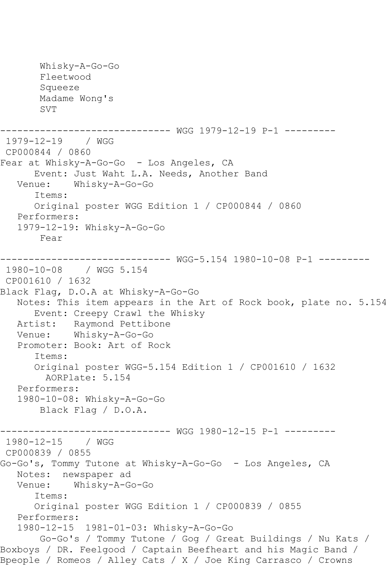Whisky-A-Go-Go Fleetwood Squeeze Madame Wong's SVT ------------------------------ WGG 1979-12-19 P-1 --------- 1979-12-19 / WGG CP000844 / 0860 Fear at Whisky-A-Go-Go - Los Angeles, CA Event: Just Waht L.A. Needs, Another Band<br>Venue: Whisky-A-Go-Go Whisky-A-Go-Go Items: Original poster WGG Edition 1 / CP000844 / 0860 Performers: 1979-12-19: Whisky-A-Go-Go Fear  $-----$  WGG-5.154 1980-10-08 P-1  $------$ 1980-10-08 / WGG 5.154 CP001610 / 1632 Black Flag, D.O.A at Whisky-A-Go-Go Notes: This item appears in the Art of Rock book, plate no. 5.154 Event: Creepy Crawl the Whisky Artist: Raymond Pettibone<br>Venue: Whiskv-A-Go-Go Whisky-A-Go-Go Promoter: Book: Art of Rock Items: Original poster WGG-5.154 Edition 1 / CP001610 / 1632 AORPlate: 5.154 Performers: 1980-10-08: Whisky-A-Go-Go Black Flag / D.O.A. ------------------------------ WGG 1980-12-15 P-1 --------- 1980-12-15 / WGG CP000839 / 0855 Go-Go's, Tommy Tutone at Whisky-A-Go-Go - Los Angeles, CA Notes: newspaper ad<br>Venue: Whisky-A-G Whisky-A-Go-Go Items: Original poster WGG Edition 1 / CP000839 / 0855 Performers: 1980-12-15 1981-01-03: Whisky-A-Go-Go Go-Go's / Tommy Tutone / Gog / Great Buildings / Nu Kats / Boxboys / DR. Feelgood / Captain Beefheart and his Magic Band / Bpeople / Romeos / Alley Cats / X / Joe King Carrasco / Crowns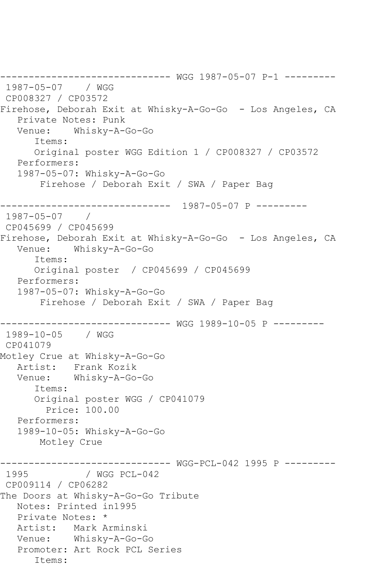------------------------------ WGG 1987-05-07 P-1 --------- 1987-05-07 / WGG CP008327 / CP03572 Firehose, Deborah Exit at Whisky-A-Go-Go - Los Angeles, CA Private Notes: Punk Venue: Whisky-A-Go-Go Items: Original poster WGG Edition 1 / CP008327 / CP03572 Performers: 1987-05-07: Whisky-A-Go-Go Firehose / Deborah Exit / SWA / Paper Bag ------------------------------ 1987-05-07 P --------- 1987-05-07 / CP045699 / CP045699 Firehose, Deborah Exit at Whisky-A-Go-Go - Los Angeles, CA Venue: Whisky-A-Go-Go Items: Original poster / CP045699 / CP045699 Performers: 1987-05-07: Whisky-A-Go-Go Firehose / Deborah Exit / SWA / Paper Bag ------------------------------ WGG 1989-10-05 P --------- 1989-10-05 / WGG CP041079 Motley Crue at Whisky-A-Go-Go Artist: Frank Kozik Venue: Whisky-A-Go-Go Items: Original poster WGG / CP041079 Price: 100.00 Performers: 1989-10-05: Whisky-A-Go-Go Motley Crue ------------------------------ WGG-PCL-042 1995 P --------- / WGG PCL-042 CP009114 / CP06282 The Doors at Whisky-A-Go-Go Tribute Notes: Printed in1995 Private Notes: \* Artist: Mark Arminski Venue: Whisky-A-Go-Go Promoter: Art Rock PCL Series Items: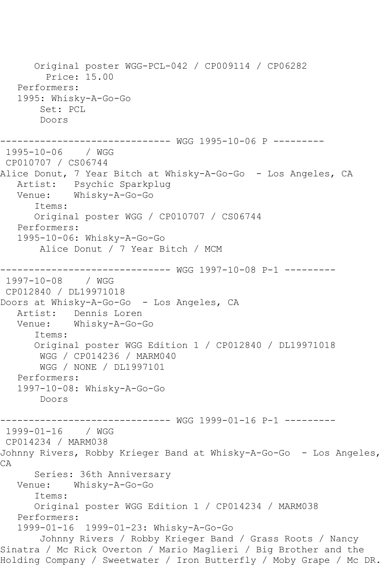Original poster WGG-PCL-042 / CP009114 / CP06282 Price: 15.00 Performers: 1995: Whisky-A-Go-Go Set: PCL Doors ------------------------------ WGG 1995-10-06 P --------- 1995-10-06 / WGG CP010707 / CS06744 Alice Donut, 7 Year Bitch at Whisky-A-Go-Go - Los Angeles, CA Artist: Psychic Sparkplug Venue: Whisky-A-Go-Go Items: Original poster WGG / CP010707 / CS06744 Performers: 1995-10-06: Whisky-A-Go-Go Alice Donut / 7 Year Bitch / MCM ------------------------------ WGG 1997-10-08 P-1 --------- 1997-10-08 / WGG CP012840 / DL19971018 Doors at Whisky-A-Go-Go - Los Angeles, CA Artist: Dennis Loren Venue: Whisky-A-Go-Go Items: Original poster WGG Edition 1 / CP012840 / DL19971018 WGG / CP014236 / MARM040 WGG / NONE / DL1997101 Performers: 1997-10-08: Whisky-A-Go-Go Doors ------------------------------ WGG 1999-01-16 P-1 --------- 1999-01-16 / WGG CP014234 / MARM038 Johnny Rivers, Robby Krieger Band at Whisky-A-Go-Go - Los Angeles, CA Series: 36th Anniversary Venue: Whisky-A-Go-Go Items: Original poster WGG Edition 1 / CP014234 / MARM038 Performers: 1999-01-16 1999-01-23: Whisky-A-Go-Go Johnny Rivers / Robby Krieger Band / Grass Roots / Nancy Sinatra / Mc Rick Overton / Mario Maglieri / Big Brother and the Holding Company / Sweetwater / Iron Butterfly / Moby Grape / Mc DR.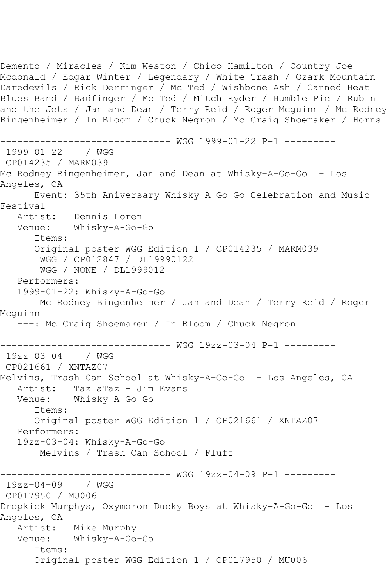Demento / Miracles / Kim Weston / Chico Hamilton / Country Joe Mcdonald / Edgar Winter / Legendary / White Trash / Ozark Mountain Daredevils / Rick Derringer / Mc Ted / Wishbone Ash / Canned Heat Blues Band / Badfinger / Mc Ted / Mitch Ryder / Humble Pie / Rubin and the Jets / Jan and Dean / Terry Reid / Roger Mcguinn / Mc Rodney Bingenheimer / In Bloom / Chuck Negron / Mc Craig Shoemaker / Horns ------------------------------ WGG 1999-01-22 P-1 --------- 1999-01-22 / WGG CP014235 / MARM039 Mc Rodney Bingenheimer, Jan and Dean at Whisky-A-Go-Go - Los Angeles, CA Event: 35th Aniversary Whisky-A-Go-Go Celebration and Music Festival<br>Artist: Dennis Loren Venue: Whisky-A-Go-Go Items: Original poster WGG Edition 1 / CP014235 / MARM039 WGG / CP012847 / DL19990122 WGG / NONE / DL1999012 Performers: 1999-01-22: Whisky-A-Go-Go Mc Rodney Bingenheimer / Jan and Dean / Terry Reid / Roger Mcguinn ---: Mc Craig Shoemaker / In Bloom / Chuck Negron ------------------------------ WGG 19zz-03-04 P-1 --------- 19zz-03-04 / WGG CP021661 / XNTAZ07 Melvins, Trash Can School at Whisky-A-Go-Go - Los Angeles, CA Artist: TazTaTaz - Jim Evans Venue: Whisky-A-Go-Go Items: Original poster WGG Edition 1 / CP021661 / XNTAZ07 Performers: 19zz-03-04: Whisky-A-Go-Go Melvins / Trash Can School / Fluff ------------------------------ WGG 19zz-04-09 P-1 --------- 19zz-04-09 / WGG CP017950 / MU006 Dropkick Murphys, Oxymoron Ducky Boys at Whisky-A-Go-Go - Los Angeles, CA Artist: Mike Murphy Venue: Whisky-A-Go-Go Items: Original poster WGG Edition 1 / CP017950 / MU006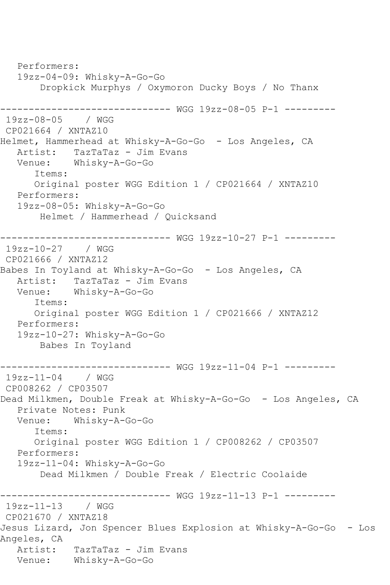Performers: 19zz-04-09: Whisky-A-Go-Go Dropkick Murphys / Oxymoron Ducky Boys / No Thanx ------------------------------ WGG 19zz-08-05 P-1 --------- 19zz-08-05 / WGG CP021664 / XNTAZ10 Helmet, Hammerhead at Whisky-A-Go-Go - Los Angeles, CA Artist: TazTaTaz - Jim Evans Venue: Whisky-A-Go-Go Items: Original poster WGG Edition 1 / CP021664 / XNTAZ10 Performers: 19zz-08-05: Whisky-A-Go-Go Helmet / Hammerhead / Quicksand ------------------------------ WGG 19zz-10-27 P-1 --------- 19zz-10-27 / WGG CP021666 / XNTAZ12 Babes In Toyland at Whisky-A-Go-Go - Los Angeles, CA Artist: TazTaTaz - Jim Evans Venue: Whisky-A-Go-Go Items: Original poster WGG Edition 1 / CP021666 / XNTAZ12 Performers: 19zz-10-27: Whisky-A-Go-Go Babes In Toyland ------------------------------ WGG 19zz-11-04 P-1 --------- 19zz-11-04 / WGG CP008262 / CP03507 Dead Milkmen, Double Freak at Whisky-A-Go-Go - Los Angeles, CA Private Notes: Punk Venue: Whisky-A-Go-Go Items: Original poster WGG Edition 1 / CP008262 / CP03507 Performers: 19zz-11-04: Whisky-A-Go-Go Dead Milkmen / Double Freak / Electric Coolaide ------------------------------ WGG 19zz-11-13 P-1 --------- 19zz-11-13 / WGG CP021670 / XNTAZ18 Jesus Lizard, Jon Spencer Blues Explosion at Whisky-A-Go-Go - Los Angeles, CA Artist: TazTaTaz - Jim Evans Venue: Whisky-A-Go-Go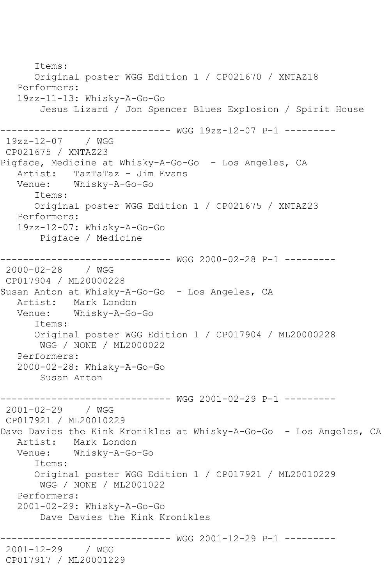Items: Original poster WGG Edition 1 / CP021670 / XNTAZ18 Performers: 19zz-11-13: Whisky-A-Go-Go Jesus Lizard / Jon Spencer Blues Explosion / Spirit House ------------------------------ WGG 19zz-12-07 P-1 --------- 19zz-12-07 / WGG CP021675 / XNTAZ23 Pigface, Medicine at Whisky-A-Go-Go - Los Angeles, CA Artist: TazTaTaz - Jim Evans<br>Venue: Whisky-A-Go-Go Whisky-A-Go-Go Items: Original poster WGG Edition 1 / CP021675 / XNTAZ23 Performers: 19zz-12-07: Whisky-A-Go-Go Pigface / Medicine ------------------------------ WGG 2000-02-28 P-1 --------- 2000-02-28 / WGG CP017904 / ML20000228 Susan Anton at Whisky-A-Go-Go - Los Angeles, CA Artist: Mark London<br>Venue: Whisky-A-Go Whisky-A-Go-Go Items: Original poster WGG Edition 1 / CP017904 / ML20000228 WGG / NONE / ML2000022 Performers: 2000-02-28: Whisky-A-Go-Go Susan Anton ------------------------------ WGG 2001-02-29 P-1 --------- 2001-02-29 / WGG CP017921 / ML20010229 Dave Davies the Kink Kronikles at Whisky-A-Go-Go - Los Angeles, CA Artist: Mark London Venue: Whisky-A-Go-Go Items: Original poster WGG Edition 1 / CP017921 / ML20010229 WGG / NONE / ML2001022 Performers: 2001-02-29: Whisky-A-Go-Go Dave Davies the Kink Kronikles ------------------------------ WGG 2001-12-29 P-1 --------- 2001-12-29 / WGG CP017917 / ML20001229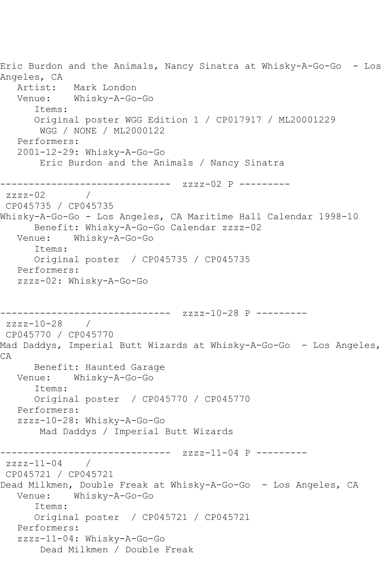Eric Burdon and the Animals, Nancy Sinatra at Whisky-A-Go-Go - Los Angeles, CA Artist: Mark London Venue: Whisky-A-Go-Go Items: Original poster WGG Edition 1 / CP017917 / ML20001229 WGG / NONE / ML2000122 Performers: 2001-12-29: Whisky-A-Go-Go Eric Burdon and the Animals / Nancy Sinatra ------------------------------ zzzz-02 P --------  $zzzz-02$  / CP045735 / CP045735 Whisky-A-Go-Go - Los Angeles, CA Maritime Hall Calendar 1998-10 Benefit: Whisky-A-Go-Go Calendar zzzz-02 Venue: Whisky-A-Go-Go Items: Original poster / CP045735 / CP045735 Performers: zzzz-02: Whisky-A-Go-Go ------------------------------ zzzz-10-28 P -------- zzzz-10-28 / CP045770 / CP045770 Mad Daddys, Imperial Butt Wizards at Whisky-A-Go-Go - Los Angeles, CA Benefit: Haunted Garage Venue: Whisky-A-Go-Go Items: Original poster / CP045770 / CP045770 Performers: zzzz-10-28: Whisky-A-Go-Go Mad Daddys / Imperial Butt Wizards ------------------------------ zzzz-11-04 P -------- zzzz-11-04 / CP045721 / CP045721 Dead Milkmen, Double Freak at Whisky-A-Go-Go - Los Angeles, CA Venue: Whisky-A-Go-Go Items: Original poster / CP045721 / CP045721 Performers: zzzz-11-04: Whisky-A-Go-Go Dead Milkmen / Double Freak